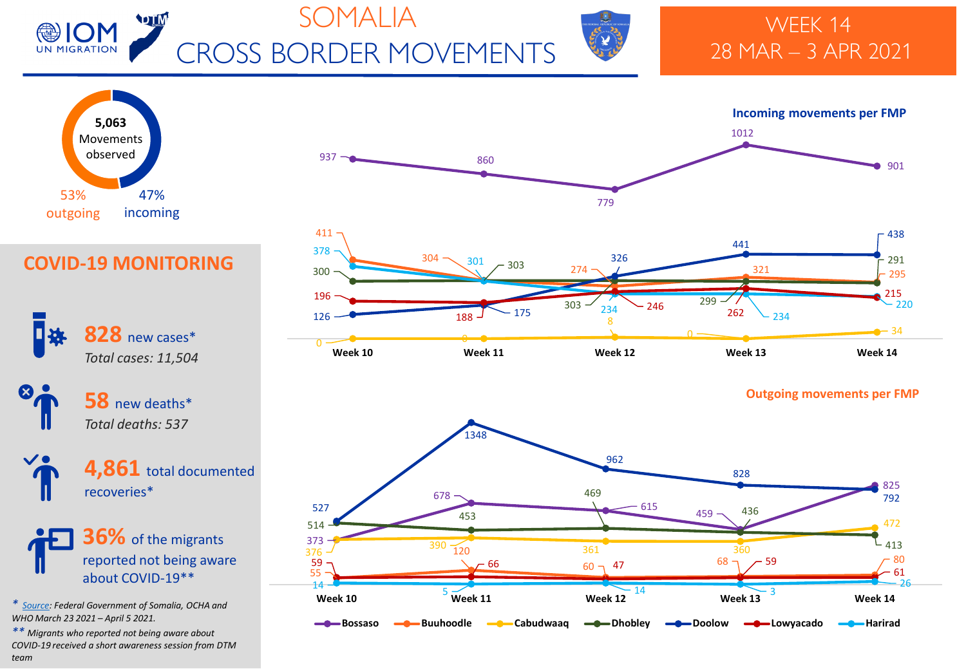

# SOMALIA CROSS BORDER MOVEMENTS



### WEEK 14 28 MAR – 3 APR 2021







### **COVID-19 MONITORING**



new deaths\* *Total deaths: 537*



**36%** of the migrants reported not being aware about COVID-19\*\*

*\* [Source:](https://moh.gov.so/en/covid19/) Federal Government of Somalia, OCHA and WHO March 23 2021 – April 5 2021.*

*\*\* Migrants who reported not being aware about COVID-19 received a short awareness session from DTM team*

#### **Outgoing movements per FMP**